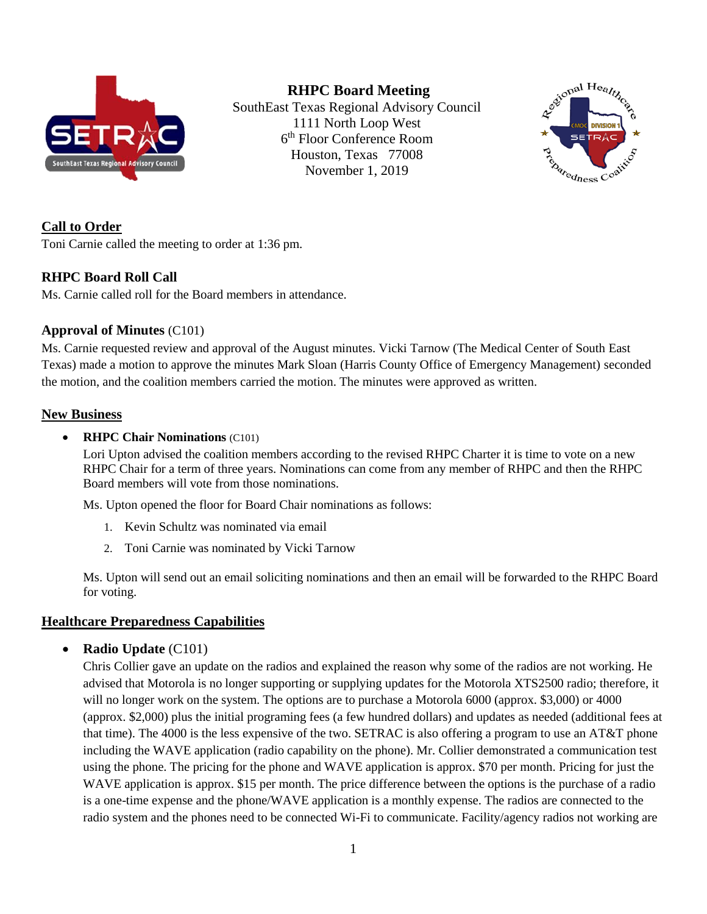

**RHPC Board Meeting**

SouthEast Texas Regional Advisory Council 1111 North Loop West 6 th Floor Conference Room Houston, Texas 77008 November 1, 2019



**Call to Order**

Toni Carnie called the meeting to order at 1:36 pm.

### **RHPC Board Roll Call**

Ms. Carnie called roll for the Board members in attendance.

### **Approval of Minutes** (C101)

Ms. Carnie requested review and approval of the August minutes. Vicki Tarnow (The Medical Center of South East Texas) made a motion to approve the minutes Mark Sloan (Harris County Office of Emergency Management) seconded the motion, and the coalition members carried the motion. The minutes were approved as written.

#### **New Business**

#### • **RHPC Chair Nominations** (C101)

Lori Upton advised the coalition members according to the revised RHPC Charter it is time to vote on a new RHPC Chair for a term of three years. Nominations can come from any member of RHPC and then the RHPC Board members will vote from those nominations.

Ms. Upton opened the floor for Board Chair nominations as follows:

- 1. Kevin Schultz was nominated via email
- 2. Toni Carnie was nominated by Vicki Tarnow

Ms. Upton will send out an email soliciting nominations and then an email will be forwarded to the RHPC Board for voting.

### **Healthcare Preparedness Capabilities**

• **Radio Update** (C101)

Chris Collier gave an update on the radios and explained the reason why some of the radios are not working. He advised that Motorola is no longer supporting or supplying updates for the Motorola XTS2500 radio; therefore, it will no longer work on the system. The options are to purchase a Motorola 6000 (approx. \$3,000) or 4000 (approx. \$2,000) plus the initial programing fees (a few hundred dollars) and updates as needed (additional fees at that time). The 4000 is the less expensive of the two. SETRAC is also offering a program to use an AT&T phone including the WAVE application (radio capability on the phone). Mr. Collier demonstrated a communication test using the phone. The pricing for the phone and WAVE application is approx. \$70 per month. Pricing for just the WAVE application is approx. \$15 per month. The price difference between the options is the purchase of a radio is a one-time expense and the phone/WAVE application is a monthly expense. The radios are connected to the radio system and the phones need to be connected Wi-Fi to communicate. Facility/agency radios not working are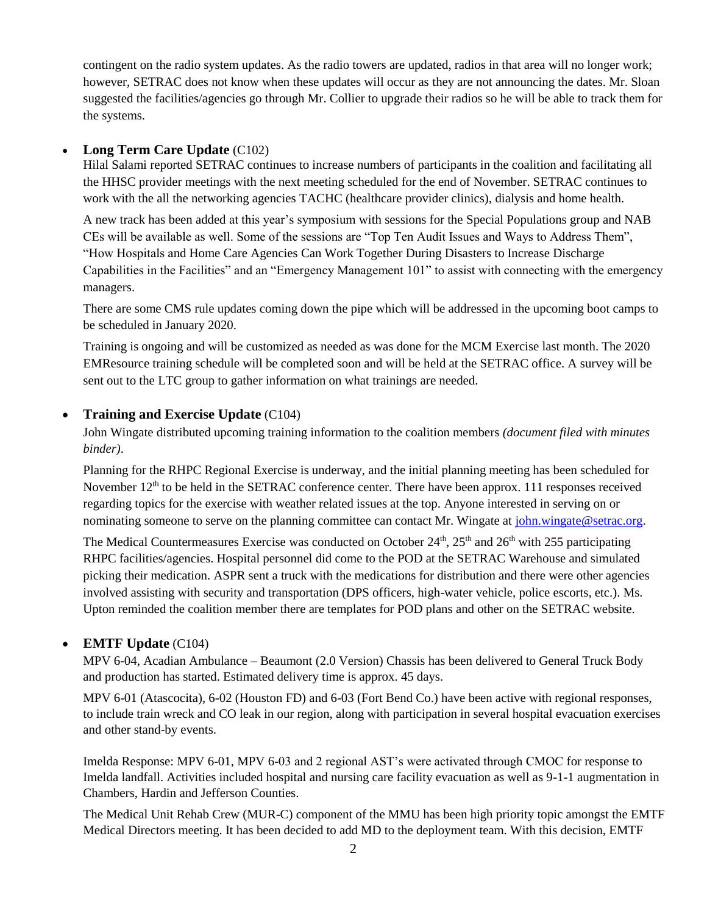contingent on the radio system updates. As the radio towers are updated, radios in that area will no longer work; however, SETRAC does not know when these updates will occur as they are not announcing the dates. Mr. Sloan suggested the facilities/agencies go through Mr. Collier to upgrade their radios so he will be able to track them for the systems.

#### • **Long Term Care Update** (C102)

Hilal Salami reported SETRAC continues to increase numbers of participants in the coalition and facilitating all the HHSC provider meetings with the next meeting scheduled for the end of November. SETRAC continues to work with the all the networking agencies TACHC (healthcare provider clinics), dialysis and home health.

A new track has been added at this year's symposium with sessions for the Special Populations group and NAB CEs will be available as well. Some of the sessions are "Top Ten Audit Issues and Ways to Address Them", "How Hospitals and Home Care Agencies Can Work Together During Disasters to Increase Discharge Capabilities in the Facilities" and an "Emergency Management 101" to assist with connecting with the emergency managers.

There are some CMS rule updates coming down the pipe which will be addressed in the upcoming boot camps to be scheduled in January 2020.

Training is ongoing and will be customized as needed as was done for the MCM Exercise last month. The 2020 EMResource training schedule will be completed soon and will be held at the SETRAC office. A survey will be sent out to the LTC group to gather information on what trainings are needed.

#### • **Training and Exercise Update** (C104)

John Wingate distributed upcoming training information to the coalition members *(document filed with minutes binder)*.

Planning for the RHPC Regional Exercise is underway, and the initial planning meeting has been scheduled for November 12<sup>th</sup> to be held in the SETRAC conference center. There have been approx. 111 responses received regarding topics for the exercise with weather related issues at the top. Anyone interested in serving on or nominating someone to serve on the planning committee can contact Mr. Wingate at [john.wingate@setrac.org.](mailto:john.wingate@setrac.org)

The Medical Countermeasures Exercise was conducted on October 24<sup>th</sup>, 25<sup>th</sup> and 26<sup>th</sup> with 255 participating RHPC facilities/agencies. Hospital personnel did come to the POD at the SETRAC Warehouse and simulated picking their medication. ASPR sent a truck with the medications for distribution and there were other agencies involved assisting with security and transportation (DPS officers, high-water vehicle, police escorts, etc.). Ms. Upton reminded the coalition member there are templates for POD plans and other on the SETRAC website.

### • **EMTF Update** (C104)

MPV 6-04, Acadian Ambulance – Beaumont (2.0 Version) Chassis has been delivered to General Truck Body and production has started. Estimated delivery time is approx. 45 days.

MPV 6-01 (Atascocita), 6-02 (Houston FD) and 6-03 (Fort Bend Co.) have been active with regional responses, to include train wreck and CO leak in our region, along with participation in several hospital evacuation exercises and other stand-by events.

Imelda Response: MPV 6-01, MPV 6-03 and 2 regional AST's were activated through CMOC for response to Imelda landfall. Activities included hospital and nursing care facility evacuation as well as 9-1-1 augmentation in Chambers, Hardin and Jefferson Counties.

The Medical Unit Rehab Crew (MUR-C) component of the MMU has been high priority topic amongst the EMTF Medical Directors meeting. It has been decided to add MD to the deployment team. With this decision, EMTF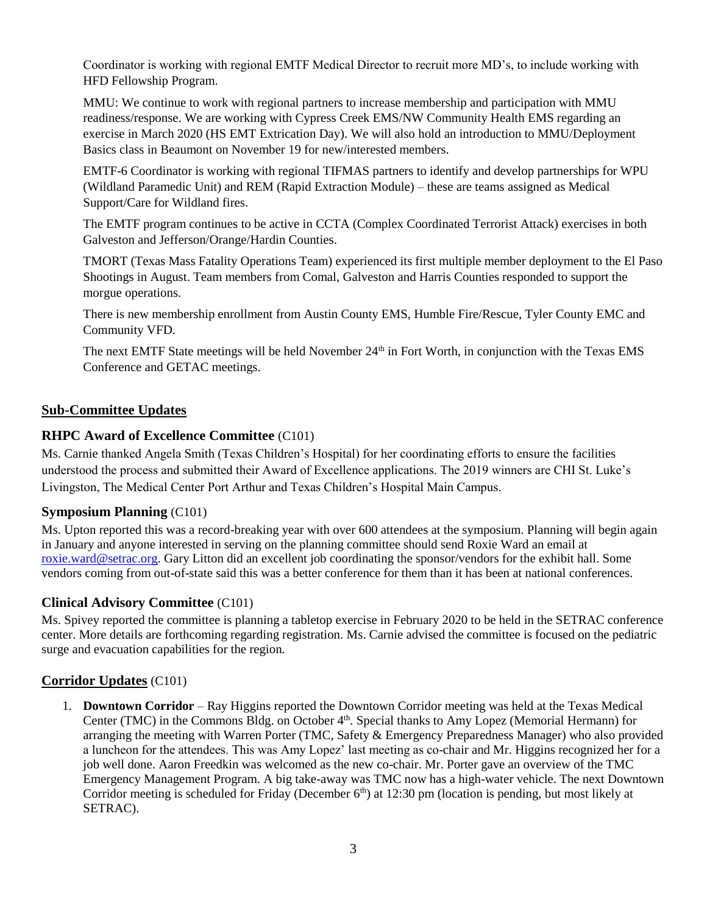Coordinator is working with regional EMTF Medical Director to recruit more MD's, to include working with HFD Fellowship Program.

MMU: We continue to work with regional partners to increase membership and participation with MMU readiness/response. We are working with Cypress Creek EMS/NW Community Health EMS regarding an exercise in March 2020 (HS EMT Extrication Day). We will also hold an introduction to MMU/Deployment Basics class in Beaumont on November 19 for new/interested members.

EMTF-6 Coordinator is working with regional TIFMAS partners to identify and develop partnerships for WPU (Wildland Paramedic Unit) and REM (Rapid Extraction Module) – these are teams assigned as Medical Support/Care for Wildland fires.

The EMTF program continues to be active in CCTA (Complex Coordinated Terrorist Attack) exercises in both Galveston and Jefferson/Orange/Hardin Counties.

TMORT (Texas Mass Fatality Operations Team) experienced its first multiple member deployment to the El Paso Shootings in August. Team members from Comal, Galveston and Harris Counties responded to support the morgue operations.

There is new membership enrollment from Austin County EMS, Humble Fire/Rescue, Tyler County EMC and Community VFD.

The next EMTF State meetings will be held November 24<sup>th</sup> in Fort Worth, in conjunction with the Texas EMS Conference and GETAC meetings.

### **Sub-Committee Updates**

### **RHPC Award of Excellence Committee** (C101)

Ms. Carnie thanked Angela Smith (Texas Children's Hospital) for her coordinating efforts to ensure the facilities understood the process and submitted their Award of Excellence applications. The 2019 winners are CHI St. Luke's Livingston, The Medical Center Port Arthur and Texas Children's Hospital Main Campus.

#### **Symposium Planning** (C101)

Ms. Upton reported this was a record-breaking year with over 600 attendees at the symposium. Planning will begin again in January and anyone interested in serving on the planning committee should send Roxie Ward an email at [roxie.ward@setrac.org.](mailto:roxie.ward@setrac.org) Gary Litton did an excellent job coordinating the sponsor/vendors for the exhibit hall. Some vendors coming from out-of-state said this was a better conference for them than it has been at national conferences.

#### **Clinical Advisory Committee** (C101)

Ms. Spivey reported the committee is planning a tabletop exercise in February 2020 to be held in the SETRAC conference center. More details are forthcoming regarding registration. Ms. Carnie advised the committee is focused on the pediatric surge and evacuation capabilities for the region.

#### **Corridor Updates** (C101)

1. **Downtown Corridor** – Ray Higgins reported the Downtown Corridor meeting was held at the Texas Medical Center (TMC) in the Commons Bldg. on October 4<sup>th</sup>. Special thanks to Amy Lopez (Memorial Hermann) for arranging the meeting with Warren Porter (TMC, Safety & Emergency Preparedness Manager) who also provided a luncheon for the attendees. This was Amy Lopez' last meeting as co-chair and Mr. Higgins recognized her for a job well done. Aaron Freedkin was welcomed as the new co-chair. Mr. Porter gave an overview of the TMC Emergency Management Program. A big take-away was TMC now has a high-water vehicle. The next Downtown Corridor meeting is scheduled for Friday (December 6<sup>th</sup>) at 12:30 pm (location is pending, but most likely at SETRAC).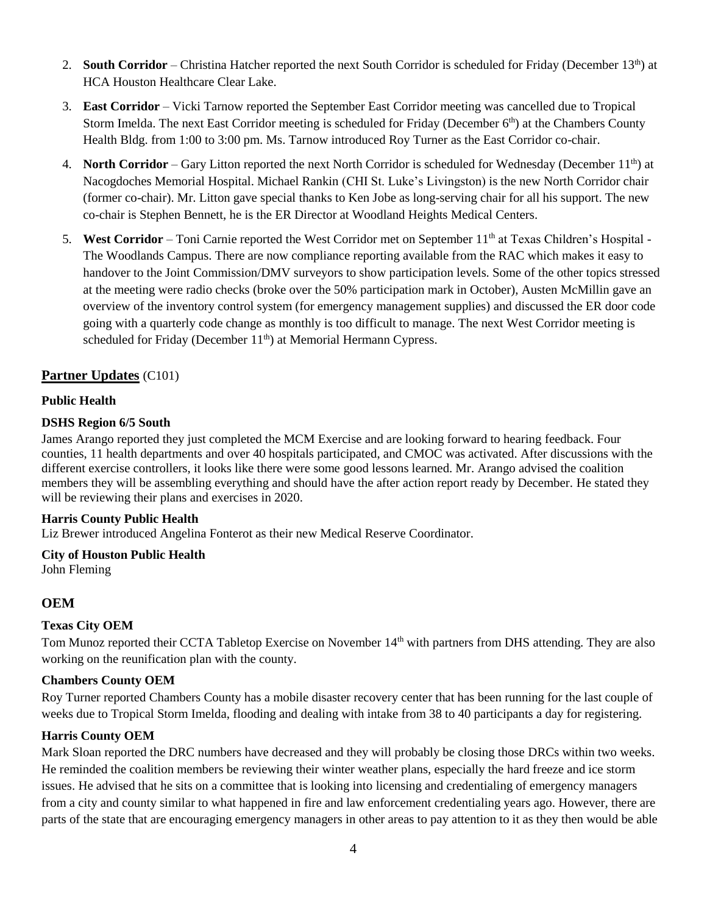- 2. **South Corridor** Christina Hatcher reported the next South Corridor is scheduled for Friday (December 13<sup>th</sup>) at HCA Houston Healthcare Clear Lake.
- 3. **East Corridor** Vicki Tarnow reported the September East Corridor meeting was cancelled due to Tropical Storm Imelda. The next East Corridor meeting is scheduled for Friday (December  $6<sup>th</sup>$ ) at the Chambers County Health Bldg. from 1:00 to 3:00 pm. Ms. Tarnow introduced Roy Turner as the East Corridor co-chair.
- 4. **North Corridor** Gary Litton reported the next North Corridor is scheduled for Wednesday (December 11<sup>th</sup>) at Nacogdoches Memorial Hospital. Michael Rankin (CHI St. Luke's Livingston) is the new North Corridor chair (former co-chair). Mr. Litton gave special thanks to Ken Jobe as long-serving chair for all his support. The new co-chair is Stephen Bennett, he is the ER Director at Woodland Heights Medical Centers.
- 5. West Corridor Toni Carnie reported the West Corridor met on September 11<sup>th</sup> at Texas Children's Hospital -The Woodlands Campus. There are now compliance reporting available from the RAC which makes it easy to handover to the Joint Commission/DMV surveyors to show participation levels. Some of the other topics stressed at the meeting were radio checks (broke over the 50% participation mark in October), Austen McMillin gave an overview of the inventory control system (for emergency management supplies) and discussed the ER door code going with a quarterly code change as monthly is too difficult to manage. The next West Corridor meeting is scheduled for Friday (December 11<sup>th</sup>) at Memorial Hermann Cypress.

### **Partner Updates** (C101)

#### **Public Health**

#### **DSHS Region 6/5 South**

James Arango reported they just completed the MCM Exercise and are looking forward to hearing feedback. Four counties, 11 health departments and over 40 hospitals participated, and CMOC was activated. After discussions with the different exercise controllers, it looks like there were some good lessons learned. Mr. Arango advised the coalition members they will be assembling everything and should have the after action report ready by December. He stated they will be reviewing their plans and exercises in 2020.

#### **Harris County Public Health**

Liz Brewer introduced Angelina Fonterot as their new Medical Reserve Coordinator.

# **City of Houston Public Health**

John Fleming

### **OEM**

#### **Texas City OEM**

Tom Munoz reported their CCTA Tabletop Exercise on November 14<sup>th</sup> with partners from DHS attending. They are also working on the reunification plan with the county.

#### **Chambers County OEM**

Roy Turner reported Chambers County has a mobile disaster recovery center that has been running for the last couple of weeks due to Tropical Storm Imelda, flooding and dealing with intake from 38 to 40 participants a day for registering.

#### **Harris County OEM**

Mark Sloan reported the DRC numbers have decreased and they will probably be closing those DRCs within two weeks. He reminded the coalition members be reviewing their winter weather plans, especially the hard freeze and ice storm issues. He advised that he sits on a committee that is looking into licensing and credentialing of emergency managers from a city and county similar to what happened in fire and law enforcement credentialing years ago. However, there are parts of the state that are encouraging emergency managers in other areas to pay attention to it as they then would be able